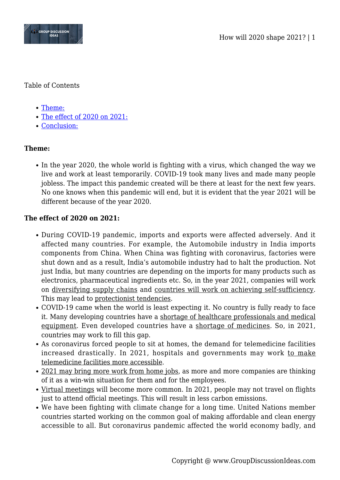

Table of Contents

- [Theme:](#page--1-0)
- [The effect of 2020 on 2021:](#page--1-0)
- [Conclusion:](#page--1-0)

## **Theme:**

• In the year 2020, the whole world is fighting with a virus, which changed the way we live and work at least temporarily. COVID-19 took many lives and made many people jobless. The impact this pandemic created will be there at least for the next few years. No one knows when this pandemic will end, but it is evident that the year 2021 will be different because of the year 2020.

## **The effect of 2020 on 2021:**

- During COVID-19 pandemic, imports and exports were affected adversely. And it affected many countries. For example, the Automobile industry in India imports components from China. When China was fighting with coronavirus, factories were shut down and as a result, India's automobile industry had to halt the production. Not just India, but many countries are depending on the imports for many products such as electronics, pharmaceutical ingredients etc. So, in the year 2021, companies will work on diversifying supply chains and countries will work on achieving self-sufficiency. This may lead to protectionist tendencies.
- COVID-19 came when the world is least expecting it. No country is fully ready to face it. Many developing countries have a shortage of healthcare professionals and medical equipment. Even developed countries have a shortage of medicines. So, in 2021, countries may work to fill this gap.
- As coronavirus forced people to sit at homes, the demand for telemedicine facilities increased drastically. In 2021, hospitals and governments may work to make telemedicine facilities more accessible.
- 2021 may bring more work from home jobs, as more and more companies are thinking of it as a win-win situation for them and for the employees.
- Virtual meetings will become more common. In 2021, people may not travel on flights just to attend official meetings. This will result in less carbon emissions.
- We have been fighting with climate change for a long time. United Nations member countries started working on the common goal of making affordable and clean energy accessible to all. But coronavirus pandemic affected the world economy badly, and